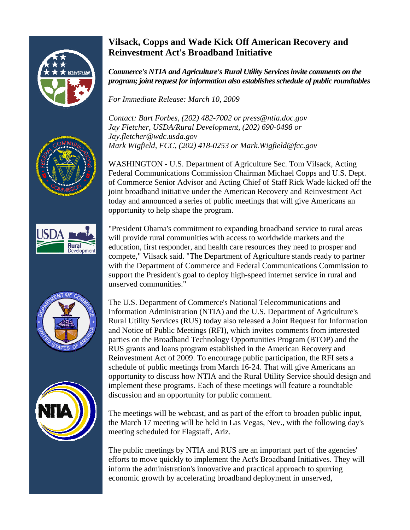

# **Vilsack, Copps and Wade Kick Off American Recovery and Reinvestment Act's Broadband Initiative**

*Commerce's NTIA and Agriculture's Rural Utility Services invite comments on the program; joint request for information also establishes schedule of public roundtables* 

*For Immediate Release: March 10, 2009* 

*Contact: Bart Forbes, (202) 482-7002 or press@ntia.doc.gov Jay Fletcher, USDA/Rural Development, (202) 690-0498 or Jay.fletcher@wdc.usda.gov Mark Wigfield, FCC, (202) 418-0253 or Mark.Wigfield@fcc.gov* 

WASHINGTON - U.S. Department of Agriculture Sec. Tom Vilsack, Acting Federal Communications Commission Chairman Michael Copps and U.S. Dept. of Commerce Senior Advisor and Acting Chief of Staff Rick Wade kicked off the joint broadband initiative under the American Recovery and Reinvestment Act today and announced a series of public meetings that will give Americans an opportunity to help shape the program.

"President Obama's commitment to expanding broadband service to rural areas will provide rural communities with access to worldwide markets and the education, first responder, and health care resources they need to prosper and compete," Vilsack said. "The Department of Agriculture stands ready to partner with the Department of Commerce and Federal Communications Commission to support the President's goal to deploy high-speed internet service in rural and unserved communities."





The U.S. Department of Commerce's National Telecommunications and Information Administration (NTIA) and the U.S. Department of Agriculture's Rural Utility Services (RUS) today also released a Joint Request for Information and Notice of Public Meetings (RFI), which invites comments from interested parties on the Broadband Technology Opportunities Program (BTOP) and the RUS grants and loans program established in the American Recovery and Reinvestment Act of 2009. To encourage public participation, the RFI sets a schedule of public meetings from March 16-24. That will give Americans an opportunity to discuss how NTIA and the Rural Utility Service should design and implement these programs. Each of these meetings will feature a roundtable discussion and an opportunity for public comment.

The meetings will be webcast, and as part of the effort to broaden public input, the March 17 meeting will be held in Las Vegas, Nev., with the following day's meeting scheduled for Flagstaff, Ariz.

The public meetings by NTIA and RUS are an important part of the agencies' efforts to move quickly to implement the Act's Broadband Initiatives. They will inform the administration's innovative and practical approach to spurring economic growth by accelerating broadband deployment in unserved,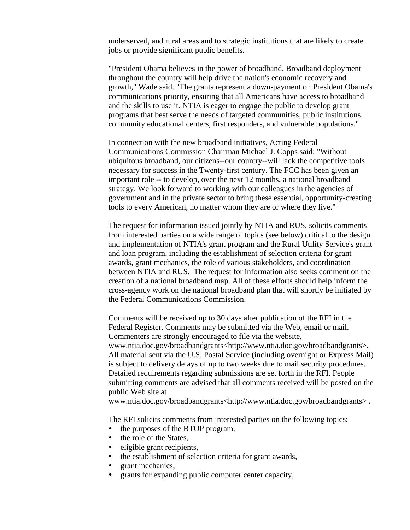underserved, and rural areas and to strategic institutions that are likely to create jobs or provide significant public benefits.

"President Obama believes in the power of broadband. Broadband deployment throughout the country will help drive the nation's economic recovery and growth," Wade said. "The grants represent a down-payment on President Obama's communications priority, ensuring that all Americans have access to broadband and the skills to use it. NTIA is eager to engage the public to develop grant programs that best serve the needs of targeted communities, public institutions, community educational centers, first responders, and vulnerable populations."

In connection with the new broadband initiatives, Acting Federal Communications Commission Chairman Michael J. Copps said: "Without ubiquitous broadband, our citizens--our country--will lack the competitive tools necessary for success in the Twenty-first century. The FCC has been given an important role -- to develop, over the next 12 months, a national broadband strategy. We look forward to working with our colleagues in the agencies of government and in the private sector to bring these essential, opportunity-creating tools to every American, no matter whom they are or where they live."

The request for information issued jointly by NTIA and RUS, solicits comments from interested parties on a wide range of topics (see below) critical to the design and implementation of NTIA's grant program and the Rural Utility Service's grant and loan program, including the establishment of selection criteria for grant awards, grant mechanics, the role of various stakeholders, and coordination between NTIA and RUS. The request for information also seeks comment on the creation of a national broadband map. All of these efforts should help inform the cross-agency work on the national broadband plan that will shortly be initiated by the Federal Communications Commission.

Comments will be received up to 30 days after publication of the RFI in the Federal Register. Comments may be submitted via the Web, email or mail. Commenters are strongly encouraged to file via the website, www.ntia.doc.gov/broadbandgrants<http://www.ntia.doc.gov/broadbandgrants>. All material sent via the U.S. Postal Service (including overnight or Express Mail) is subject to delivery delays of up to two weeks due to mail security procedures. Detailed requirements regarding submissions are set forth in the RFI. People submitting comments are advised that all comments received will be posted on the public Web site at

www.ntia.doc.gov/broadbandgrants<http://www.ntia.doc.gov/broadbandgrants>.

The RFI solicits comments from interested parties on the following topics:

- the purposes of the BTOP program,
- the role of the States,
- eligible grant recipients,
- the establishment of selection criteria for grant awards,
- grant mechanics,
- y grants for expanding public computer center capacity,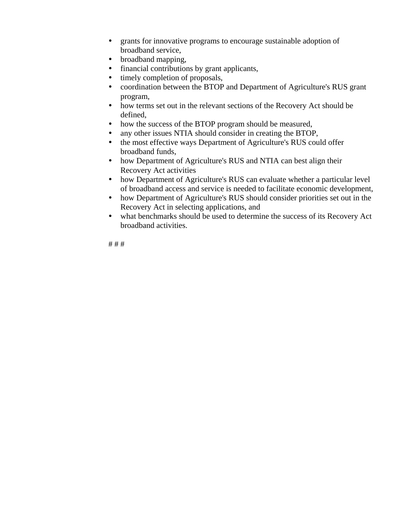- grants for innovative programs to encourage sustainable adoption of broadband service,
- broadband mapping,
- financial contributions by grant applicants,
- timely completion of proposals,
- coordination between the BTOP and Department of Agriculture's RUS grant program,
- how terms set out in the relevant sections of the Recovery Act should be defined,
- how the success of the BTOP program should be measured,
- any other issues NTIA should consider in creating the BTOP,
- the most effective ways Department of Agriculture's RUS could offer broadband funds,
- how Department of Agriculture's RUS and NTIA can best align their Recovery Act activities
- how Department of Agriculture's RUS can evaluate whether a particular level of broadband access and service is needed to facilitate economic development,
- how Department of Agriculture's RUS should consider priorities set out in the Recovery Act in selecting applications, and
- what benchmarks should be used to determine the success of its Recovery Act broadband activities.

# # #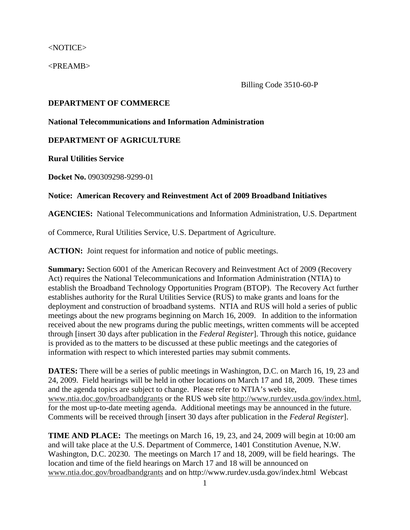<NOTICE>

<PREAMB>

Billing Code 3510-60-P

### **DEPARTMENT OF COMMERCE**

#### **National Telecommunications and Information Administration**

#### **DEPARTMENT OF AGRICULTURE**

**Rural Utilities Service** 

**Docket No.** 090309298-9299-01

# **Notice: American Recovery and Reinvestment Act of 2009 Broadband Initiatives**

**AGENCIES:** National Telecommunications and Information Administration, U.S. Department

of Commerce, Rural Utilities Service, U.S. Department of Agriculture.

**ACTION:** Joint request for information and notice of public meetings.

**Summary:** Section 6001 of the American Recovery and Reinvestment Act of 2009 (Recovery Act) requires the National Telecommunications and Information Administration (NTIA) to establish the Broadband Technology Opportunities Program (BTOP). The Recovery Act further establishes authority for the Rural Utilities Service (RUS) to make grants and loans for the deployment and construction of broadband systems. NTIA and RUS will hold a series of public meetings about the new programs beginning on March 16, 2009. In addition to the information received about the new programs during the public meetings, written comments will be accepted through [insert 30 days after publication in the *Federal Register*]. Through this notice, guidance is provided as to the matters to be discussed at these public meetings and the categories of information with respect to which interested parties may submit comments.

**DATES:** There will be a series of public meetings in Washington, D.C. on March 16, 19, 23 and 24, 2009. Field hearings will be held in other locations on March 17 and 18, 2009. These times and the agenda topics are subject to change. Please refer to NTIA's web site, www.ntia.doc.gov/broadbandgrants or the RUS web site http://www.rurdev.usda.gov/index.html, for the most up-to-date meeting agenda. Additional meetings may be announced in the future. Comments will be received through [insert 30 days after publication in the *Federal Register*].

**TIME AND PLACE:** The meetings on March 16, 19, 23, and 24, 2009 will begin at 10:00 am and will take place at the U.S. Department of Commerce, 1401 Constitution Avenue, N.W. Washington, D.C. 20230. The meetings on March 17 and 18, 2009, will be field hearings. The location and time of the field hearings on March 17 and 18 will be announced on www.ntia.doc.gov/broadbandgrants and on http://www.rurdev.usda.gov/index.html Webcast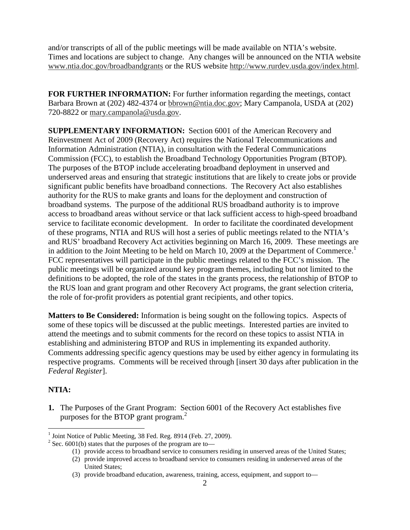and/or transcripts of all of the public meetings will be made available on NTIA's website. Times and locations are subject to change. Any changes will be announced on the NTIA website www.ntia.doc.gov/broadbandgrants or the RUS website http://www.rurdev.usda.gov/index.html.

**FOR FURTHER INFORMATION:** For further information regarding the meetings, contact Barbara Brown at (202) 482-4374 or bbrown@ntia.doc.gov; Mary Campanola, USDA at (202) 720-8822 or mary.campanola@usda.gov.

**SUPPLEMENTARY INFORMATION:** Section 6001 of the American Recovery and Reinvestment Act of 2009 (Recovery Act) requires the National Telecommunications and Information Administration (NTIA), in consultation with the Federal Communications Commission (FCC), to establish the Broadband Technology Opportunities Program (BTOP). The purposes of the BTOP include accelerating broadband deployment in unserved and underserved areas and ensuring that strategic institutions that are likely to create jobs or provide significant public benefits have broadband connections. The Recovery Act also establishes authority for the RUS to make grants and loans for the deployment and construction of broadband systems. The purpose of the additional RUS broadband authority is to improve access to broadband areas without service or that lack sufficient access to high-speed broadband service to facilitate economic development. In order to facilitate the coordinated development of these programs, NTIA and RUS will host a series of public meetings related to the NTIA's and RUS' broadband Recovery Act activities beginning on March 16, 2009. These meetings are in addition to the Joint Meeting to be held on March 10, 2009 at the Department of Commerce.<sup>1</sup> FCC representatives will participate in the public meetings related to the FCC's mission. The public meetings will be organized around key program themes, including but not limited to the definitions to be adopted, the role of the states in the grants process, the relationship of BTOP to the RUS loan and grant program and other Recovery Act programs, the grant selection criteria, the role of for-profit providers as potential grant recipients, and other topics.

**Matters to Be Considered:** Information is being sought on the following topics. Aspects of some of these topics will be discussed at the public meetings. Interested parties are invited to attend the meetings and to submit comments for the record on these topics to assist NTIA in establishing and administering BTOP and RUS in implementing its expanded authority. Comments addressing specific agency questions may be used by either agency in formulating its respective programs. Comments will be received through [insert 30 days after publication in the *Federal Register*].

# **NTIA:**

**1.** The Purposes of the Grant Program: Section 6001 of the Recovery Act establishes five purposes for the BTOP grant program.<sup>2</sup>

 1 Joint Notice of Public Meeting, 38 Fed. Reg. 8914 (Feb. 27, 2009).

<sup>&</sup>lt;sup>2</sup> Sec. 6001(b) states that the purposes of the program are to-

<sup>(1)</sup> provide access to broadband service to consumers residing in unserved areas of the United States;

<sup>(2)</sup> provide improved access to broadband service to consumers residing in underserved areas of the United States;

<sup>(3)</sup> provide broadband education, awareness, training, access, equipment, and support to—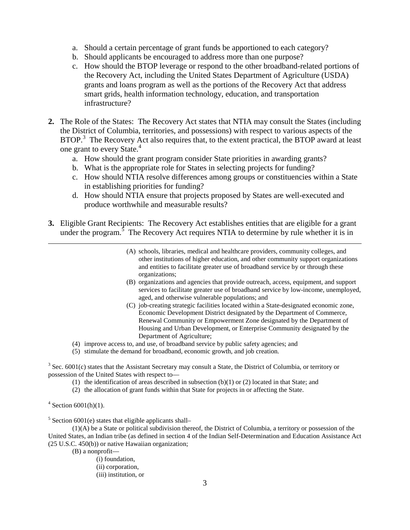- a. Should a certain percentage of grant funds be apportioned to each category?
- b. Should applicants be encouraged to address more than one purpose?
- c. How should the BTOP leverage or respond to the other broadband-related portions of the Recovery Act, including the United States Department of Agriculture (USDA) grants and loans program as well as the portions of the Recovery Act that address smart grids, health information technology, education, and transportation infrastructure?
- **2.** The Role of the States: The Recovery Act states that NTIA may consult the States (including the District of Columbia, territories, and possessions) with respect to various aspects of the BTOP.<sup>3</sup> The Recovery Act also requires that, to the extent practical, the BTOP award at least one grant to every State.<sup>4</sup>
	- a. How should the grant program consider State priorities in awarding grants?
	- b. What is the appropriate role for States in selecting projects for funding?
	- c. How should NTIA resolve differences among groups or constituencies within a State in establishing priorities for funding?
	- d. How should NTIA ensure that projects proposed by States are well-executed and produce worthwhile and measurable results?
- **3.** Eligible Grant Recipients: The Recovery Act establishes entities that are eligible for a grant under the program.<sup>5</sup> The Recovery Act requires NTIA to determine by rule whether it is in
	- (A) schools, libraries, medical and healthcare providers, community colleges, and other institutions of higher education, and other community support organizations and entities to facilitate greater use of broadband service by or through these organizations;
	- (B) organizations and agencies that provide outreach, access, equipment, and support services to facilitate greater use of broadband service by low-income, unemployed, aged, and otherwise vulnerable populations; and
	- (C) job-creating strategic facilities located within a State-designated economic zone, Economic Development District designated by the Department of Commerce, Renewal Community or Empowerment Zone designated by the Department of Housing and Urban Development, or Enterprise Community designated by the Department of Agriculture;
	- (4) improve access to, and use, of broadband service by public safety agencies; and
	- (5) stimulate the demand for broadband, economic growth, and job creation.

 $3$  Sec. 6001(c) states that the Assistant Secretary may consult a State, the District of Columbia, or territory or possession of the United States with respect to—

- (1) the identification of areas described in subsection (b)(1) or (2) located in that State; and
- (2) the allocation of grant funds within that State for projects in or affecting the State.

 $4$  Section 6001(h)(1).

 $<sup>5</sup>$  Section 6001(e) states that eligible applicants shall-</sup>

 (1)(A) be a State or political subdivision thereof, the District of Columbia, a territory or possession of the United States, an Indian tribe (as defined in section 4 of the Indian Self-Determination and Education Assistance Act (25 U.S.C. 450(b)) or native Hawaiian organization;

(B) a nonprofit—

- (i) foundation,
- (ii) corporation,
- (iii) institution, or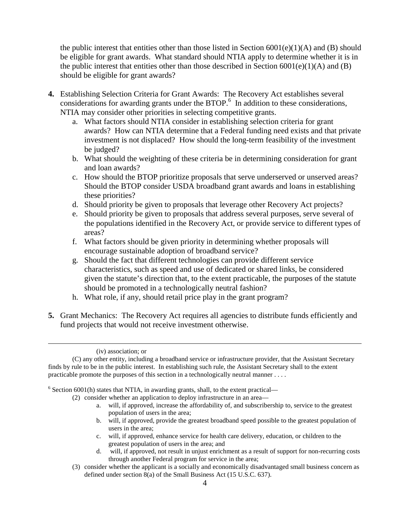the public interest that entities other than those listed in Section  $6001(e)(1)(A)$  and  $(B)$  should be eligible for grant awards. What standard should NTIA apply to determine whether it is in the public interest that entities other than those described in Section  $6001(e)(1)(A)$  and (B) should be eligible for grant awards?

- **4.** Establishing Selection Criteria for Grant Awards: The Recovery Act establishes several considerations for awarding grants under the BTOP.<sup>6</sup> In addition to these considerations, NTIA may consider other priorities in selecting competitive grants.
	- a. What factors should NTIA consider in establishing selection criteria for grant awards? How can NTIA determine that a Federal funding need exists and that private investment is not displaced? How should the long-term feasibility of the investment be judged?
	- b. What should the weighting of these criteria be in determining consideration for grant and loan awards?
	- c. How should the BTOP prioritize proposals that serve underserved or unserved areas? Should the BTOP consider USDA broadband grant awards and loans in establishing these priorities?
	- d. Should priority be given to proposals that leverage other Recovery Act projects?
	- e. Should priority be given to proposals that address several purposes, serve several of the populations identified in the Recovery Act, or provide service to different types of areas?
	- f. What factors should be given priority in determining whether proposals will encourage sustainable adoption of broadband service?
	- g. Should the fact that different technologies can provide different service characteristics, such as speed and use of dedicated or shared links, be considered given the statute's direction that, to the extent practicable, the purposes of the statute should be promoted in a technologically neutral fashion?
	- h. What role, if any, should retail price play in the grant program?
- **5.** Grant Mechanics: The Recovery Act requires all agencies to distribute funds efficiently and fund projects that would not receive investment otherwise.

 (C) any other entity, including a broadband service or infrastructure provider, that the Assistant Secretary finds by rule to be in the public interest. In establishing such rule, the Assistant Secretary shall to the extent practicable promote the purposes of this section in a technologically neutral manner . . . .

 $6$  Section 6001(h) states that NTIA, in awarding grants, shall, to the extent practical—

(2) consider whether an application to deploy infrastructure in an area—

- a. will, if approved, increase the affordability of, and subscribership to, service to the greatest population of users in the area;
- b. will, if approved, provide the greatest broadband speed possible to the greatest population of users in the area;
- c. will, if approved, enhance service for health care delivery, education, or children to the greatest population of users in the area; and
- d. will, if approved, not result in unjust enrichment as a result of support for non-recurring costs through another Federal program for service in the area;
- (3) consider whether the applicant is a socially and economically disadvantaged small business concern as defined under section 8(a) of the Small Business Act (15 U.S.C. 637).

 <sup>(</sup>iv) association; or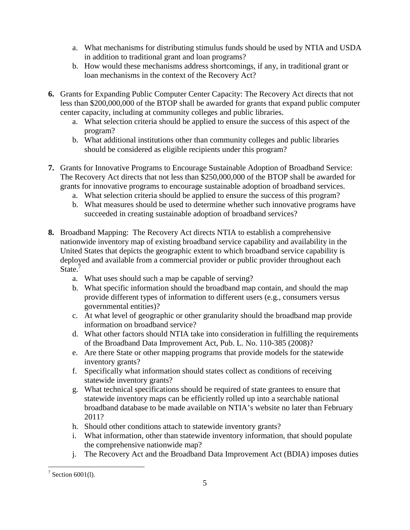- a. What mechanisms for distributing stimulus funds should be used by NTIA and USDA in addition to traditional grant and loan programs?
- b. How would these mechanisms address shortcomings, if any, in traditional grant or loan mechanisms in the context of the Recovery Act?
- **6.** Grants for Expanding Public Computer Center Capacity: The Recovery Act directs that not less than \$200,000,000 of the BTOP shall be awarded for grants that expand public computer center capacity, including at community colleges and public libraries.
	- a. What selection criteria should be applied to ensure the success of this aspect of the program?
	- b. What additional institutions other than community colleges and public libraries should be considered as eligible recipients under this program?
- **7.** Grants for Innovative Programs to Encourage Sustainable Adoption of Broadband Service: The Recovery Act directs that not less than \$250,000,000 of the BTOP shall be awarded for grants for innovative programs to encourage sustainable adoption of broadband services.
	- a. What selection criteria should be applied to ensure the success of this program?
	- b. What measures should be used to determine whether such innovative programs have succeeded in creating sustainable adoption of broadband services?
- **8.** Broadband Mapping: The Recovery Act directs NTIA to establish a comprehensive nationwide inventory map of existing broadband service capability and availability in the United States that depicts the geographic extent to which broadband service capability is deployed and available from a commercial provider or public provider throughout each State.<sup>7</sup>
	- a. What uses should such a map be capable of serving?
	- b. What specific information should the broadband map contain, and should the map provide different types of information to different users (e.g., consumers versus governmental entities)?
	- c. At what level of geographic or other granularity should the broadband map provide information on broadband service?
	- d. What other factors should NTIA take into consideration in fulfilling the requirements of the Broadband Data Improvement Act, Pub. L. No. 110-385 (2008)?
	- e. Are there State or other mapping programs that provide models for the statewide inventory grants?
	- f. Specifically what information should states collect as conditions of receiving statewide inventory grants?
	- g. What technical specifications should be required of state grantees to ensure that statewide inventory maps can be efficiently rolled up into a searchable national broadband database to be made available on NTIA's website no later than February 2011?
	- h. Should other conditions attach to statewide inventory grants?
	- i. What information, other than statewide inventory information, that should populate the comprehensive nationwide map?
	- j. The Recovery Act and the Broadband Data Improvement Act (BDIA) imposes duties

 $\overline{a}$  $7$  Section 6001(1).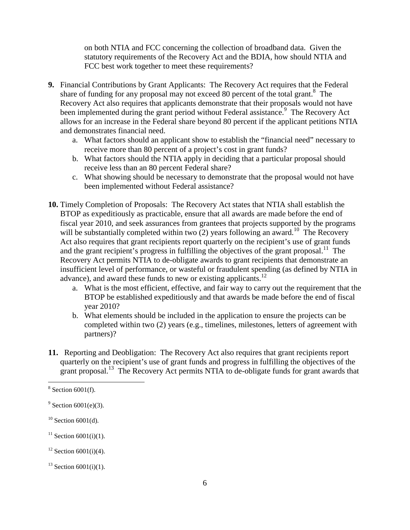on both NTIA and FCC concerning the collection of broadband data. Given the statutory requirements of the Recovery Act and the BDIA, how should NTIA and FCC best work together to meet these requirements?

- **9.** Financial Contributions by Grant Applicants: The Recovery Act requires that the Federal share of funding for any proposal may not exceed 80 percent of the total grant.<sup>8</sup> The Recovery Act also requires that applicants demonstrate that their proposals would not have been implemented during the grant period without Federal assistance.<sup>9</sup> The Recovery Act allows for an increase in the Federal share beyond 80 percent if the applicant petitions NTIA and demonstrates financial need.
	- a. What factors should an applicant show to establish the "financial need" necessary to receive more than 80 percent of a project's cost in grant funds?
	- b. What factors should the NTIA apply in deciding that a particular proposal should receive less than an 80 percent Federal share?
	- c. What showing should be necessary to demonstrate that the proposal would not have been implemented without Federal assistance?
- **10.** Timely Completion of Proposals: The Recovery Act states that NTIA shall establish the BTOP as expeditiously as practicable, ensure that all awards are made before the end of fiscal year 2010, and seek assurances from grantees that projects supported by the programs will be substantially completed within two  $(2)$  years following an award.<sup>10</sup> The Recovery Act also requires that grant recipients report quarterly on the recipient's use of grant funds and the grant recipient's progress in fulfilling the objectives of the grant proposal.<sup>11</sup> The Recovery Act permits NTIA to de-obligate awards to grant recipients that demonstrate an insufficient level of performance, or wasteful or fraudulent spending (as defined by NTIA in advance), and award these funds to new or existing applicants.<sup>12</sup>
	- a. What is the most efficient, effective, and fair way to carry out the requirement that the BTOP be established expeditiously and that awards be made before the end of fiscal year 2010?
	- b. What elements should be included in the application to ensure the projects can be completed within two (2) years (e.g., timelines, milestones, letters of agreement with partners)?
- **11.** Reporting and Deobligation: The Recovery Act also requires that grant recipients report quarterly on the recipient's use of grant funds and progress in fulfilling the objectives of the grant proposal.<sup>13</sup> The Recovery Act permits NTIA to de-obligate funds for grant awards that

-

 $8$  Section 6001(f).

 $9^9$  Section 6001(e)(3).

 $10$  Section 6001(d).

 $11$  Section 6001(i)(1).

 $12$  Section 6001(i)(4).

 $13$  Section 6001(i)(1).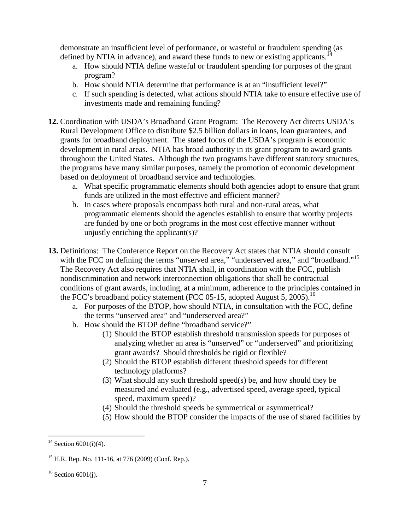demonstrate an insufficient level of performance, or wasteful or fraudulent spending (as defined by NTIA in advance), and award these funds to new or existing applicants.<sup>1</sup>

- a. How should NTIA define wasteful or fraudulent spending for purposes of the grant program?
- b. How should NTIA determine that performance is at an "insufficient level?"
- c. If such spending is detected, what actions should NTIA take to ensure effective use of investments made and remaining funding?
- **12.** Coordination with USDA's Broadband Grant Program: The Recovery Act directs USDA's Rural Development Office to distribute \$2.5 billion dollars in loans, loan guarantees, and grants for broadband deployment. The stated focus of the USDA's program is economic development in rural areas. NTIA has broad authority in its grant program to award grants throughout the United States. Although the two programs have different statutory structures, the programs have many similar purposes, namely the promotion of economic development based on deployment of broadband service and technologies.
	- a. What specific programmatic elements should both agencies adopt to ensure that grant funds are utilized in the most effective and efficient manner?
	- b. In cases where proposals encompass both rural and non-rural areas, what programmatic elements should the agencies establish to ensure that worthy projects are funded by one or both programs in the most cost effective manner without unjustly enriching the applicant(s)?
- **13.** Definitions: The Conference Report on the Recovery Act states that NTIA should consult with the FCC on defining the terms "unserved area," "underserved area," and "broadband."<sup>15</sup> The Recovery Act also requires that NTIA shall, in coordination with the FCC, publish nondiscrimination and network interconnection obligations that shall be contractual conditions of grant awards, including, at a minimum, adherence to the principles contained in the FCC's broadband policy statement (FCC 05-15, adopted August 5, 2005).<sup>16</sup>
	- a. For purposes of the BTOP, how should NTIA, in consultation with the FCC, define the terms "unserved area" and "underserved area?"
	- b. How should the BTOP define "broadband service?"
		- (1) Should the BTOP establish threshold transmission speeds for purposes of analyzing whether an area is "unserved" or "underserved" and prioritizing grant awards? Should thresholds be rigid or flexible?
		- (2) Should the BTOP establish different threshold speeds for different technology platforms?
		- (3) What should any such threshold speed(s) be, and how should they be measured and evaluated (e.g., advertised speed, average speed, typical speed, maximum speed)?
		- (4) Should the threshold speeds be symmetrical or asymmetrical?
		- (5) How should the BTOP consider the impacts of the use of shared facilities by

<sup>-</sup><sup>14</sup> Section 6001(i)(4).

 $^{15}$  H.R. Rep. No. 111-16, at 776 (2009) (Conf. Rep.).

 $16$  Section 6001(j).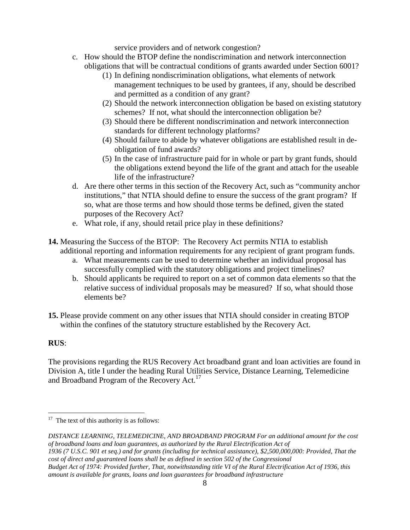service providers and of network congestion?

- c. How should the BTOP define the nondiscrimination and network interconnection obligations that will be contractual conditions of grants awarded under Section 6001?
	- (1) In defining nondiscrimination obligations, what elements of network management techniques to be used by grantees, if any, should be described and permitted as a condition of any grant?
	- (2) Should the network interconnection obligation be based on existing statutory schemes? If not, what should the interconnection obligation be?
	- (3) Should there be different nondiscrimination and network interconnection standards for different technology platforms?
	- (4) Should failure to abide by whatever obligations are established result in deobligation of fund awards?
	- (5) In the case of infrastructure paid for in whole or part by grant funds, should the obligations extend beyond the life of the grant and attach for the useable life of the infrastructure?
- d. Are there other terms in this section of the Recovery Act, such as "community anchor institutions," that NTIA should define to ensure the success of the grant program? If so, what are those terms and how should those terms be defined, given the stated purposes of the Recovery Act?
- e. What role, if any, should retail price play in these definitions?
- **14.** Measuring the Success of the BTOP: The Recovery Act permits NTIA to establish additional reporting and information requirements for any recipient of grant program funds.
	- a. What measurements can be used to determine whether an individual proposal has successfully complied with the statutory obligations and project timelines?
	- b. Should applicants be required to report on a set of common data elements so that the relative success of individual proposals may be measured? If so, what should those elements be?
- **15.** Please provide comment on any other issues that NTIA should consider in creating BTOP within the confines of the statutory structure established by the Recovery Act.

# **RUS**:

<u>.</u>

The provisions regarding the RUS Recovery Act broadband grant and loan activities are found in Division A, title I under the heading Rural Utilities Service, Distance Learning, Telemedicine and Broadband Program of the Recovery Act.<sup>17</sup>

*DISTANCE LEARNING, TELEMEDICINE, AND BROADBAND PROGRAM For an additional amount for the cost of broadband loans and loan guarantees, as authorized by the Rural Electrification Act of 1936 (7 U.S.C. 901 et seq.) and for grants (including for technical assistance), \$2,500,000,000: Provided, That the cost of direct and guaranteed loans shall be as defined in section 502 of the Congressional Budget Act of 1974: Provided further, That, notwithstanding title VI of the Rural Electrification Act of 1936, this amount is available for grants, loans and loan guarantees for broadband infrastructure* 

 $17$  The text of this authority is as follows: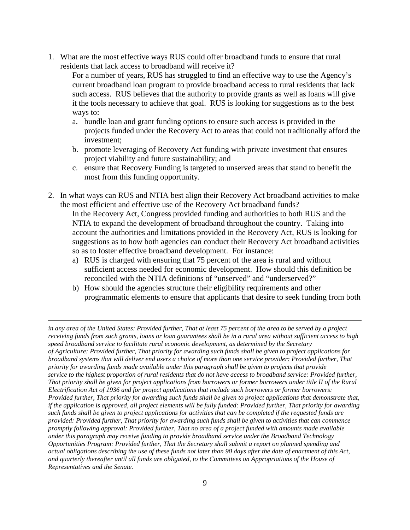1. What are the most effective ways RUS could offer broadband funds to ensure that rural residents that lack access to broadband will receive it?

For a number of years, RUS has struggled to find an effective way to use the Agency's current broadband loan program to provide broadband access to rural residents that lack such access. RUS believes that the authority to provide grants as well as loans will give it the tools necessary to achieve that goal. RUS is looking for suggestions as to the best ways to:

- a. bundle loan and grant funding options to ensure such access is provided in the projects funded under the Recovery Act to areas that could not traditionally afford the investment;
- b. promote leveraging of Recovery Act funding with private investment that ensures project viability and future sustainability; and
- c. ensure that Recovery Funding is targeted to unserved areas that stand to benefit the most from this funding opportunity.
- 2. In what ways can RUS and NTIA best align their Recovery Act broadband activities to make the most efficient and effective use of the Recovery Act broadband funds?

In the Recovery Act, Congress provided funding and authorities to both RUS and the NTIA to expand the development of broadband throughout the country. Taking into account the authorities and limitations provided in the Recovery Act, RUS is looking for suggestions as to how both agencies can conduct their Recovery Act broadband activities so as to foster effective broadband development. For instance:

- a) RUS is charged with ensuring that 75 percent of the area is rural and without sufficient access needed for economic development. How should this definition be reconciled with the NTIA definitions of "unserved" and "underserved?"
- b) How should the agencies structure their eligibility requirements and other programmatic elements to ensure that applicants that desire to seek funding from both

<u>.</u>

*in any area of the United States: Provided further, That at least 75 percent of the area to be served by a project receiving funds from such grants, loans or loan guarantees shall be in a rural area without sufficient access to high speed broadband service to facilitate rural economic development, as determined by the Secretary of Agriculture: Provided further, That priority for awarding such funds shall be given to project applications for broadband systems that will deliver end users a choice of more than one service provider: Provided further, That priority for awarding funds made available under this paragraph shall be given to projects that provide service to the highest proportion of rural residents that do not have access to broadband service: Provided further, That priority shall be given for project applications from borrowers or former borrowers under title II of the Rural Electrification Act of 1936 and for project applications that include such borrowers or former borrowers: Provided further, That priority for awarding such funds shall be given to project applications that demonstrate that, if the application is approved, all project elements will be fully funded: Provided further, That priority for awarding such funds shall be given to project applications for activities that can be completed if the requested funds are provided: Provided further, That priority for awarding such funds shall be given to activities that can commence promptly following approval: Provided further, That no area of a project funded with amounts made available under this paragraph may receive funding to provide broadband service under the Broadband Technology Opportunities Program: Provided further, That the Secretary shall submit a report on planned spending and actual obligations describing the use of these funds not later than 90 days after the date of enactment of this Act, and quarterly thereafter until all funds are obligated, to the Committees on Appropriations of the House of Representatives and the Senate.*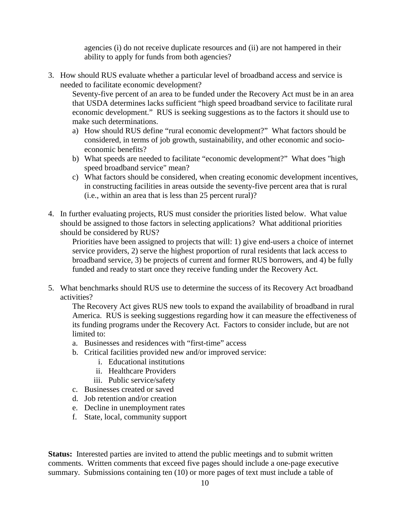agencies (i) do not receive duplicate resources and (ii) are not hampered in their ability to apply for funds from both agencies?

3. How should RUS evaluate whether a particular level of broadband access and service is needed to facilitate economic development?

Seventy-five percent of an area to be funded under the Recovery Act must be in an area that USDA determines lacks sufficient "high speed broadband service to facilitate rural economic development." RUS is seeking suggestions as to the factors it should use to make such determinations.

- a) How should RUS define "rural economic development?" What factors should be considered, in terms of job growth, sustainability, and other economic and socioeconomic benefits?
- b) What speeds are needed to facilitate "economic development?" What does "high speed broadband service" mean?
- c) What factors should be considered, when creating economic development incentives, in constructing facilities in areas outside the seventy-five percent area that is rural (i.e., within an area that is less than 25 percent rural)?
- 4. In further evaluating projects, RUS must consider the priorities listed below. What value should be assigned to those factors in selecting applications? What additional priorities should be considered by RUS?

Priorities have been assigned to projects that will: 1) give end-users a choice of internet service providers, 2) serve the highest proportion of rural residents that lack access to broadband service, 3) be projects of current and former RUS borrowers, and 4) be fully funded and ready to start once they receive funding under the Recovery Act.

5. What benchmarks should RUS use to determine the success of its Recovery Act broadband activities?

The Recovery Act gives RUS new tools to expand the availability of broadband in rural America. RUS is seeking suggestions regarding how it can measure the effectiveness of its funding programs under the Recovery Act. Factors to consider include, but are not limited to:

- a. Businesses and residences with "first-time" access
- b. Critical facilities provided new and/or improved service:
	- i. Educational institutions
	- ii. Healthcare Providers
	- iii. Public service/safety
- c. Businesses created or saved
- d. Job retention and/or creation
- e. Decline in unemployment rates
- f. State, local, community support

**Status:** Interested parties are invited to attend the public meetings and to submit written comments. Written comments that exceed five pages should include a one-page executive summary. Submissions containing ten (10) or more pages of text must include a table of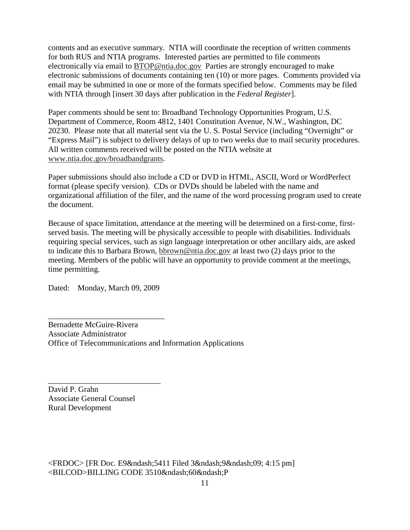contents and an executive summary. NTIA will coordinate the reception of written comments for both RUS and NTIA programs. Interested parties are permitted to file comments electronically via email to BTOP@ntia.doc.gov Parties are strongly encouraged to make electronic submissions of documents containing ten (10) or more pages. Comments provided via email may be submitted in one or more of the formats specified below. Comments may be filed with NTIA through [insert 30 days after publication in the *Federal Register*].

Paper comments should be sent to: Broadband Technology Opportunities Program, U.S. Department of Commerce, Room 4812, 1401 Constitution Avenue, N.W., Washington, DC 20230. Please note that all material sent via the U. S. Postal Service (including "Overnight" or "Express Mail") is subject to delivery delays of up to two weeks due to mail security procedures. All written comments received will be posted on the NTIA website at www.ntia.doc.gov/broadbandgrants.

Paper submissions should also include a CD or DVD in HTML, ASCII, Word or WordPerfect format (please specify version). CDs or DVDs should be labeled with the name and organizational affiliation of the filer, and the name of the word processing program used to create the document.

Because of space limitation, attendance at the meeting will be determined on a first-come, firstserved basis. The meeting will be physically accessible to people with disabilities. Individuals requiring special services, such as sign language interpretation or other ancillary aids, are asked to indicate this to Barbara Brown, bbrown@ntia.doc.gov at least two (2) days prior to the meeting. Members of the public will have an opportunity to provide comment at the meetings, time permitting.

Dated: Monday, March 09, 2009

\_\_\_\_\_\_\_\_\_\_\_\_\_\_\_\_\_\_\_\_\_\_\_\_\_\_\_\_\_

\_\_\_\_\_\_\_\_\_\_\_\_\_\_\_\_\_\_\_\_\_\_\_\_\_\_\_\_

Bernadette McGuire-Rivera Associate Administrator Office of Telecommunications and Information Applications

David P. Grahn Associate General Counsel Rural Development

 $\langle$ FRDOC> [FR Doc. E9–5411 Filed 3–9–09; 4:15 pm] <BILCOD>BILLING CODE 3510&ndash;60&ndash;P